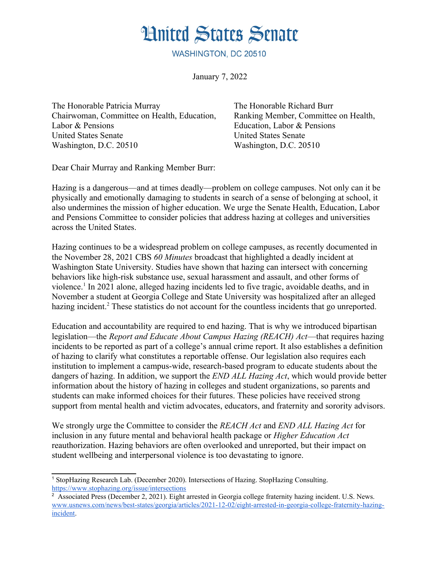## **Hnited States Senate**

WASHINGTON, DC 20510

January 7, 2022

The Honorable Patricia Murray Chairwoman, Committee on Health, Education, Labor & Pensions United States Senate Washington, D.C. 20510

The Honorable Richard Burr Ranking Member, Committee on Health, Education, Labor & Pensions United States Senate Washington, D.C. 20510

Dear Chair Murray and Ranking Member Burr:

Hazing is a dangerous—and at times deadly—problem on college campuses. Not only can it be physically and emotionally damaging to students in search of a sense of belonging at school, it also undermines the mission of higher education. We urge the Senate Health, Education, Labor and Pensions Committee to consider policies that address hazing at colleges and universities across the United States.

<span id="page-0-0"></span>Hazing continues to be a widespread problem on college campuses, as recently documented in the November 28, 2021 CBS *60 Minutes* broadcast that highlighted a deadly incident at Washington State University. Studies have shown that hazing can intersect with concerning behaviors like high-risk substance use, sexual harassment and assault, and other forms of violence.<sup>[1](#page-0-1)</sup> In 2021 alone, alleged hazing incidents led to five tragic, avoidable deaths, and in November a student at Georgia College and State University was hospitalized after an alleged hazing incident.<sup>[2](#page-0-3)</sup> These statistics do not account for the countless incidents that go unreported.

<span id="page-0-2"></span>Education and accountability are required to end hazing. That is why we introduced bipartisan legislation—the *Report and Educate About Campus Hazing (REACH) Act*—that requires hazing incidents to be reported as part of a college's annual crime report. It also establishes a definition of hazing to clarify what constitutes a reportable offense. Our legislation also requires each institution to implement a campus-wide, research-based program to educate students about the dangers of hazing. In addition, we support the *END ALL Hazing Act*, which would provide better information about the history of hazing in colleges and student organizations, so parents and students can make informed choices for their futures. These policies have received strong support from mental health and victim advocates, educators, and fraternity and sorority advisors.

We strongly urge the Committee to consider the *REACH Act* and *END ALL Hazing Act* for inclusion in any future mental and behavioral health package or *Higher Education Act* reauthorization. Hazing behaviors are often overlooked and unreported, but their impact on student wellbeing and interpersonal violence is too devastating to ignore.

<span id="page-0-1"></span>[<sup>1</sup>](#page-0-0) StopHazing Research Lab. (December 2020). Intersections of Hazing. StopHazing Consulting. <https://www.stophazing.org/issue/intersections>

<span id="page-0-3"></span><sup>&</sup>lt;sup>[2](#page-0-2)</sup> Associated Press (December 2, 2021). Eight arrested in Georgia college fraternity hazing incident. U.S. News. [www.usnews.com/news/best-states/georgia/articles/2021-12-02/eight-arrested-in-georgia-college-fraternity-hazing](https://www.usnews.com/news/best-states/georgia/articles/2021-12-02/eight-arrested-in-georgia-college-fraternity-hazing-incident)[incident](https://www.usnews.com/news/best-states/georgia/articles/2021-12-02/eight-arrested-in-georgia-college-fraternity-hazing-incident).